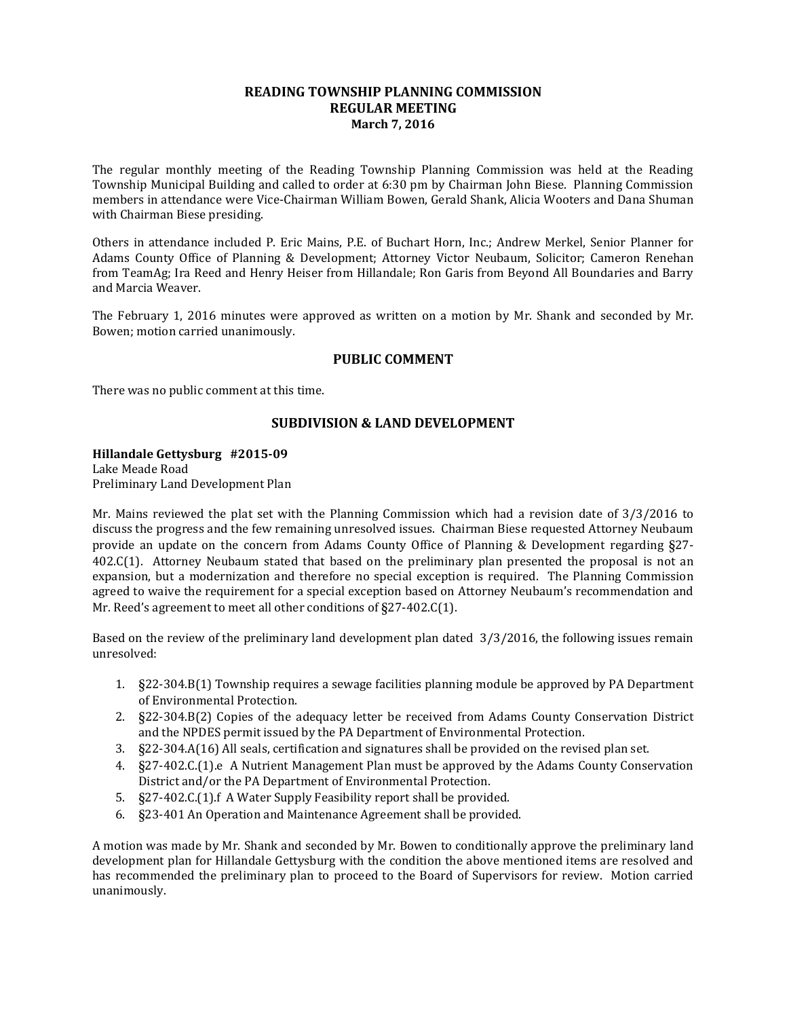# **READING TOWNSHIP PLANNING COMMISSION REGULAR MEETING March 7, 2016**

The regular monthly meeting of the Reading Township Planning Commission was held at the Reading Township Municipal Building and called to order at 6:30 pm by Chairman John Biese. Planning Commission members in attendance were Vice-Chairman William Bowen, Gerald Shank, Alicia Wooters and Dana Shuman with Chairman Biese presiding.

Others in attendance included P. Eric Mains, P.E. of Buchart Horn, Inc.; Andrew Merkel, Senior Planner for Adams County Office of Planning & Development; Attorney Victor Neubaum, Solicitor; Cameron Renehan from TeamAg; Ira Reed and Henry Heiser from Hillandale; Ron Garis from Beyond All Boundaries and Barry and Marcia Weaver.

The February 1, 2016 minutes were approved as written on a motion by Mr. Shank and seconded by Mr. Bowen; motion carried unanimously.

# **PUBLIC COMMENT**

There was no public comment at this time.

# **SUBDIVISION & LAND DEVELOPMENT**

## **Hillandale Gettysburg #2015-09**

Lake Meade Road Preliminary Land Development Plan

Mr. Mains reviewed the plat set with the Planning Commission which had a revision date of 3/3/2016 to discuss the progress and the few remaining unresolved issues. Chairman Biese requested Attorney Neubaum provide an update on the concern from Adams County Office of Planning & Development regarding §27- 402.C(1). Attorney Neubaum stated that based on the preliminary plan presented the proposal is not an expansion, but a modernization and therefore no special exception is required. The Planning Commission agreed to waive the requirement for a special exception based on Attorney Neubaum's recommendation and Mr. Reed's agreement to meet all other conditions of §27-402.C(1).

Based on the review of the preliminary land development plan dated 3/3/2016, the following issues remain unresolved:

- 1. §22-304.B(1) Township requires a sewage facilities planning module be approved by PA Department of Environmental Protection.
- 2. §22-304.B(2) Copies of the adequacy letter be received from Adams County Conservation District and the NPDES permit issued by the PA Department of Environmental Protection.
- 3. §22-304.A(16) All seals, certification and signatures shall be provided on the revised plan set.
- 4. §27-402.C.(1).e A Nutrient Management Plan must be approved by the Adams County Conservation District and/or the PA Department of Environmental Protection.
- 5. §27-402.C.(1).f A Water Supply Feasibility report shall be provided.
- 6. §23-401 An Operation and Maintenance Agreement shall be provided.

A motion was made by Mr. Shank and seconded by Mr. Bowen to conditionally approve the preliminary land development plan for Hillandale Gettysburg with the condition the above mentioned items are resolved and has recommended the preliminary plan to proceed to the Board of Supervisors for review. Motion carried unanimously.